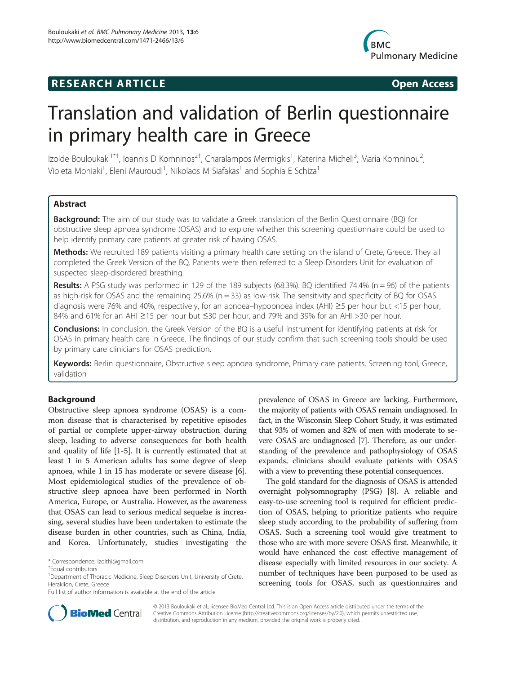# **RESEARCH ARTICLE Example 2014 CONSIDERING CONSIDERING CONSIDERING CONSIDERING CONSIDERING CONSIDERING CONSIDERING CONSIDERING CONSIDERING CONSIDERING CONSIDERING CONSIDERING CONSIDERING CONSIDERING CONSIDERING CONSIDE**



# Translation and validation of Berlin questionnaire in primary health care in Greece

Izolde Bouloukaki<sup>1\*†</sup>, Ioannis D Komninos<sup>2†</sup>, Charalampos Mermigkis<sup>1</sup>, Katerina Micheli<sup>3</sup>, Maria Komninou<sup>2</sup> , Violeta Moniaki<sup>1</sup>, Eleni Mauroudi<sup>1</sup>, Nikolaos M Siafakas<sup>1</sup> and Sophia E Schiza<sup>1</sup>

# **Abstract**

Background: The aim of our study was to validate a Greek translation of the Berlin Questionnaire (BQ) for obstructive sleep apnoea syndrome (OSAS) and to explore whether this screening questionnaire could be used to help identify primary care patients at greater risk of having OSAS.

Methods: We recruited 189 patients visiting a primary health care setting on the island of Crete, Greece. They all completed the Greek Version of the BQ. Patients were then referred to a Sleep Disorders Unit for evaluation of suspected sleep-disordered breathing.

**Results:** A PSG study was performed in 129 of the 189 subjects (68.3%). BQ identified 74.4% ( $n = 96$ ) of the patients as high-risk for OSAS and the remaining 25.6% (n = 33) as low-risk. The sensitivity and specificity of BQ for OSAS diagnosis were 76% and 40%, respectively, for an apnoea–hypopnoea index (AHI) ≥5 per hour but <15 per hour, 84% and 61% for an AHI ≥15 per hour but ≤30 per hour, and 79% and 39% for an AHI >30 per hour.

**Conclusions:** In conclusion, the Greek Version of the BQ is a useful instrument for identifying patients at risk for OSAS in primary health care in Greece. The findings of our study confirm that such screening tools should be used by primary care clinicians for OSAS prediction.

Keywords: Berlin questionnaire, Obstructive sleep apnoea syndrome, Primary care patients, Screening tool, Greece, validation

# Background

Obstructive sleep apnoea syndrome (OSAS) is a common disease that is characterised by repetitive episodes of partial or complete upper-airway obstruction during sleep, leading to adverse consequences for both health and quality of life [\[1](#page-5-0)-[5\]](#page-5-0). It is currently estimated that at least 1 in 5 American adults has some degree of sleep apnoea, while 1 in 15 has moderate or severe disease [\[6](#page-5-0)]. Most epidemiological studies of the prevalence of obstructive sleep apnoea have been performed in North America, Europe, or Australia. However, as the awareness that OSAS can lead to serious medical sequelae is increasing, several studies have been undertaken to estimate the disease burden in other countries, such as China, India, and Korea. Unfortunately, studies investigating the

prevalence of OSAS in Greece are lacking. Furthermore, the majority of patients with OSAS remain undiagnosed. In fact, in the Wisconsin Sleep Cohort Study, it was estimated that 93% of women and 82% of men with moderate to severe OSAS are undiagnosed [[7\]](#page-5-0). Therefore, as our understanding of the prevalence and pathophysiology of OSAS expands, clinicians should evaluate patients with OSAS with a view to preventing these potential consequences.

The gold standard for the diagnosis of OSAS is attended overnight polysomnography (PSG) [\[8](#page-5-0)]. A reliable and easy-to-use screening tool is required for efficient prediction of OSAS, helping to prioritize patients who require sleep study according to the probability of suffering from OSAS. Such a screening tool would give treatment to those who are with more severe OSAS first. Meanwhile, it would have enhanced the cost effective management of disease especially with limited resources in our society. A number of techniques have been purposed to be used as screening tools for OSAS, such as questionnaires and



© 2013 Bouloukaki et al.; licensee BioMed Central Ltd. This is an Open Access article distributed under the terms of the Creative Commons Attribution License (<http://creativecommons.org/licenses/by/2.0>), which permits unrestricted use, distribution, and reproduction in any medium, provided the original work is properly cited.

<sup>\*</sup> Correspondence: [izolthi@gmail.com](mailto:izolthi@gmail.com) †

Equal contributors

<sup>&</sup>lt;sup>1</sup>Department of Thoracic Medicine, Sleep Disorders Unit, University of Crete, Heraklion, Crete, Greece

Full list of author information is available at the end of the article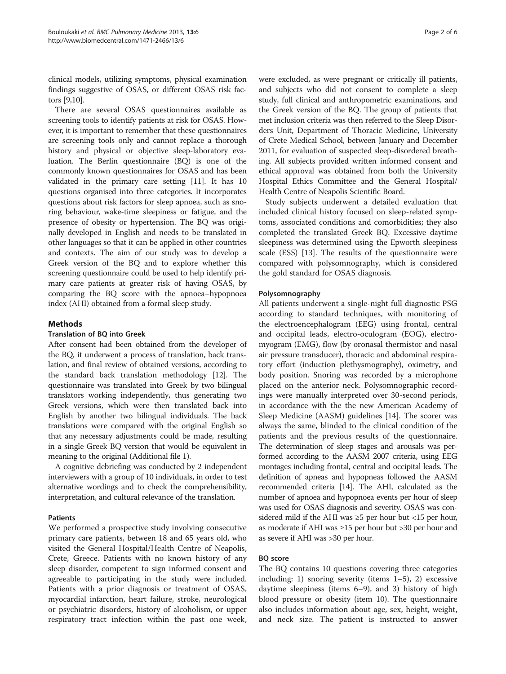clinical models, utilizing symptoms, physical examination findings suggestive of OSAS, or different OSAS risk factors [[9,10](#page-5-0)].

There are several OSAS questionnaires available as screening tools to identify patients at risk for OSAS. However, it is important to remember that these questionnaires are screening tools only and cannot replace a thorough history and physical or objective sleep-laboratory evaluation. The Berlin questionnaire (BQ) is one of the commonly known questionnaires for OSAS and has been validated in the primary care setting [[11](#page-5-0)]. It has 10 questions organised into three categories. It incorporates questions about risk factors for sleep apnoea, such as snoring behaviour, wake-time sleepiness or fatigue, and the presence of obesity or hypertension. The BQ was originally developed in English and needs to be translated in other languages so that it can be applied in other countries and contexts. The aim of our study was to develop a Greek version of the BQ and to explore whether this screening questionnaire could be used to help identify primary care patients at greater risk of having OSAS, by comparing the BQ score with the apnoea–hypopnoea index (AHI) obtained from a formal sleep study.

# **Methods**

#### Translation of BQ into Greek

After consent had been obtained from the developer of the BQ, it underwent a process of translation, back translation, and final review of obtained versions, according to the standard back translation methodology [\[12\]](#page-5-0). The questionnaire was translated into Greek by two bilingual translators working independently, thus generating two Greek versions, which were then translated back into English by another two bilingual individuals. The back translations were compared with the original English so that any necessary adjustments could be made, resulting in a single Greek BQ version that would be equivalent in meaning to the original (Additional file [1\)](#page-4-0).

A cognitive debriefing was conducted by 2 independent interviewers with a group of 10 individuals, in order to test alternative wordings and to check the comprehensibility, interpretation, and cultural relevance of the translation.

#### Patients

We performed a prospective study involving consecutive primary care patients, between 18 and 65 years old, who visited the General Hospital/Health Centre of Neapolis, Crete, Greece. Patients with no known history of any sleep disorder, competent to sign informed consent and agreeable to participating in the study were included. Patients with a prior diagnosis or treatment of OSAS, myocardial infarction, heart failure, stroke, neurological or psychiatric disorders, history of alcoholism, or upper respiratory tract infection within the past one week,

were excluded, as were pregnant or critically ill patients, and subjects who did not consent to complete a sleep study, full clinical and anthropometric examinations, and the Greek version of the BQ. The group of patients that met inclusion criteria was then referred to the Sleep Disorders Unit, Department of Thoracic Medicine, University of Crete Medical School, between January and December 2011, for evaluation of suspected sleep-disordered breathing. All subjects provided written informed consent and ethical approval was obtained from both the University Hospital Ethics Committee and the General Hospital/ Health Centre of Neapolis Scientific Board.

Study subjects underwent a detailed evaluation that included clinical history focused on sleep-related symptoms, associated conditions and comorbidities; they also completed the translated Greek BQ. Excessive daytime sleepiness was determined using the Epworth sleepiness scale (ESS) [\[13](#page-5-0)]. The results of the questionnaire were compared with polysomnography, which is considered the gold standard for OSAS diagnosis.

#### Polysomnography

All patients underwent a single-night full diagnostic PSG according to standard techniques, with monitoring of the electroencephalogram (EEG) using frontal, central and occipital leads, electro-oculogram (EOG), electromyogram (EMG), flow (by oronasal thermistor and nasal air pressure transducer), thoracic and abdominal respiratory effort (induction plethysmography), oximetry, and body position. Snoring was recorded by a microphone placed on the anterior neck. Polysomnographic recordings were manually interpreted over 30-second periods, in accordance with the the new American Academy of Sleep Medicine (AASM) guidelines [[14\]](#page-5-0). The scorer was always the same, blinded to the clinical condition of the patients and the previous results of the questionnaire. The determination of sleep stages and arousals was performed according to the AASM 2007 criteria, using EEG montages including frontal, central and occipital leads. The definition of apneas and hypopneas followed the AASM recommended criteria [[14\]](#page-5-0). The AHI, calculated as the number of apnoea and hypopnoea events per hour of sleep was used for OSAS diagnosis and severity. OSAS was considered mild if the AHI was  $\geq 5$  per hour but <15 per hour, as moderate if AHI was ≥15 per hour but >30 per hour and as severe if AHI was >30 per hour.

#### BQ score

The BQ contains 10 questions covering three categories including: 1) snoring severity (items  $1-5$ ), 2) excessive daytime sleepiness (items 6–9), and 3) history of high blood pressure or obesity (item 10). The questionnaire also includes information about age, sex, height, weight, and neck size. The patient is instructed to answer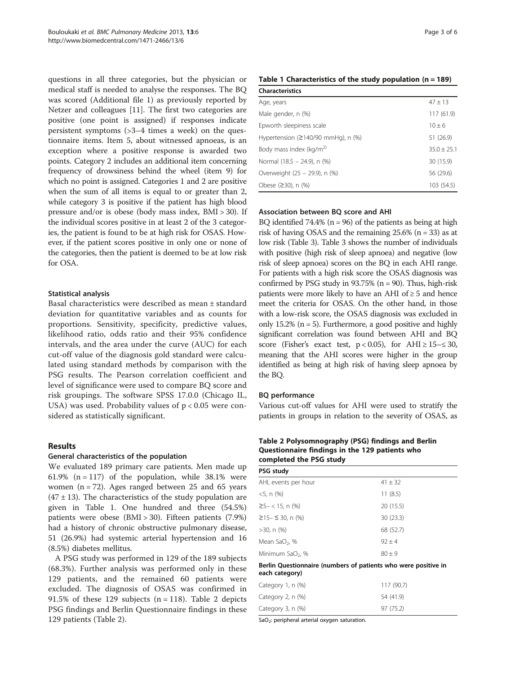questions in all three categories, but the physician or medical staff is needed to analyse the responses. The BQ was scored (Additional file [1\)](#page-4-0) as previously reported by Netzer and colleagues [[11](#page-5-0)]. The first two categories are positive (one point is assigned) if responses indicate persistent symptoms (>3–4 times a week) on the questionnaire items. Item 5, about witnessed apnoeas, is an exception where a positive response is awarded two points. Category 2 includes an additional item concerning frequency of drowsiness behind the wheel (item 9) for which no point is assigned. Categories 1 and 2 are positive when the sum of all items is equal to or greater than 2, while category 3 is positive if the patient has high blood pressure and/or is obese (body mass index, BMI > 30). If the individual scores positive in at least 2 of the 3 categories, the patient is found to be at high risk for OSAS. However, if the patient scores positive in only one or none of the categories, then the patient is deemed to be at low risk for OSA.

#### Statistical analysis

Basal characteristics were described as mean ± standard deviation for quantitative variables and as counts for proportions. Sensitivity, specificity, predictive values, likelihood ratio, odds ratio and their 95% confidence intervals, and the area under the curve (AUC) for each cut-off value of the diagnosis gold standard were calculated using standard methods by comparison with the PSG results. The Pearson correlation coefficient and level of significance were used to compare BQ score and risk groupings. The software SPSS 17.0.0 (Chicago IL, USA) was used. Probability values of  $p < 0.05$  were considered as statistically significant.

#### Results

#### General characteristics of the population

We evaluated 189 primary care patients. Men made up 61.9% ( $n = 117$ ) of the population, while 38.1% were women  $(n = 72)$ . Ages ranged between 25 and 65 years  $(47 \pm 13)$ . The characteristics of the study population are given in Table 1. One hundred and three (54.5%) patients were obese (BMI > 30). Fifteen patients (7.9%) had a history of chronic obstructive pulmonary disease, 51 (26.9%) had systemic arterial hypertension and 16 (8.5%) diabetes mellitus.

A PSG study was performed in 129 of the 189 subjects (68.3%). Further analysis was performed only in these 129 patients, and the remained 60 patients were excluded. The diagnosis of OSAS was confirmed in 91.5% of these 129 subjects  $(n = 118)$ . Table 2 depicts PSG findings and Berlin Questionnaire findings in these 129 patients (Table 2).

|  | Table 1 Characteristics of the study population $(n = 189)$ |  |  |  |  |  |
|--|-------------------------------------------------------------|--|--|--|--|--|
|--|-------------------------------------------------------------|--|--|--|--|--|

| <b>Characteristics</b>                    |               |
|-------------------------------------------|---------------|
| Age, years                                | $47 \pm 13$   |
| Male gender, n (%)                        | 117(61.9)     |
| Epworth sleepiness scale                  | $10 + 6$      |
| Hypertension ( $\geq$ 140/90 mmHg), n (%) | 51 (26.9)     |
| Body mass index ( $kg/m2$ )               | $35.0 + 25.1$ |
| Normal (18.5 - 24.9), n (%)               | 30 (15.9)     |
| Overweight (25 - 29.9), n (%)             | 56 (29.6)     |
| Obese (≥30), n (%)                        | 103 (54.5)    |

# Association between BQ score and AHI

BO identified 74.4% ( $n = 96$ ) of the patients as being at high risk of having OSAS and the remaining  $25.6\%$  (n = 33) as at low risk (Table [3](#page-3-0)). Table [3](#page-3-0) shows the number of individuals with positive (high risk of sleep apnoea) and negative (low risk of sleep apnoea) scores on the BQ in each AHI range. For patients with a high risk score the OSAS diagnosis was confirmed by PSG study in  $93.75\%$  (n = 90). Thus, high-risk patients were more likely to have an ΑΗΙ of ≥ 5 and hence meet the criteria for OSAS. On the other hand, in those with a low-risk score, the OSAS diagnosis was excluded in only  $15.2\%$  (n = 5). Furthermore, a good positive and highly significant correlation was found between AHI and BQ score (Fisher's exact test,  $p < 0.05$ ), for AHI ≥ 15-≤ 30, meaning that the AHI scores were higher in the group identified as being at high risk of having sleep apnoea by the BQ.

#### BQ performance

Various cut-off values for AHI were used to stratify the patients in groups in relation to the severity of OSAS, as

#### Table 2 Polysomnography (PSG) findings and Berlin Questionnaire findings in the 129 patients who completed the PSG study

| PSG study                                                                        |             |  |  |  |
|----------------------------------------------------------------------------------|-------------|--|--|--|
| AHI, events per hour                                                             | $41 \pm 32$ |  |  |  |
| $<5$ , n $(\%)$                                                                  | 11(8.5)     |  |  |  |
| $\geq 5 - < 15$ . n (%)                                                          | 20 (15.5)   |  |  |  |
| $≥15-≤30$ , n (%)                                                                | 30(23.3)    |  |  |  |
| $>30$ , n $(\%)$                                                                 | 68 (52.7)   |  |  |  |
| Mean SaO <sub>2</sub> , %                                                        | $92 \pm 4$  |  |  |  |
| Minimum SaO <sub>2</sub> , %                                                     | $80 \pm 9$  |  |  |  |
| Berlin Questionnaire (numbers of patients who were positive in<br>each category) |             |  |  |  |
| Category 1, n (%)                                                                | 117 (90.7)  |  |  |  |
| Category 2, n (%)                                                                | 54 (41.9)   |  |  |  |
| Category 3, n (%)                                                                | 97 (75.2)   |  |  |  |

 $SaO<sub>2</sub>$ : peripheral arterial oxygen saturation.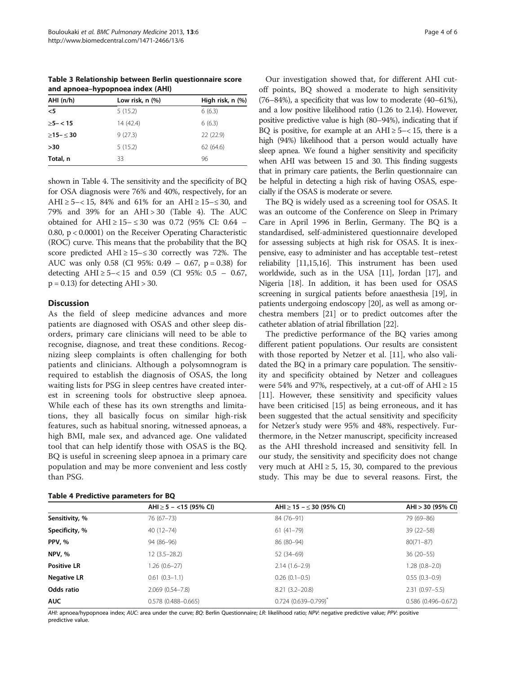<span id="page-3-0"></span>Table 3 Relationship between Berlin questionnaire score and apnoea–hypopnoea index (AHI)

| AHI(n/h)   | Low risk, n (%) | High risk, n (%) |
|------------|-----------------|------------------|
| $<$ 5      | 5(15.2)         | 6(6.3)           |
| $>5-$ < 15 | 14 (42.4)       | 6(6.3)           |
| $>15 - 30$ | 9(27.3)         | 22 (22.9)        |
| >30        | 5(15.2)         | 62 (64.6)        |
| Total, n   | 33              | 96               |

shown in Table 4. The sensitivity and the specificity of BQ for OSA diagnosis were 76% and 40%, respectively, for an AHI  $\ge 5 - < 15$ , 84% and 61% for an AHI  $\ge 15 - \le 30$ , and 79% and 39% for an AHI > 30 (Table 4). The AUC obtained for AHI ≥ 15– ≤ 30 was 0.72 (95% CI: 0.64 – 0.80, p < 0.0001) on the Receiver Operating Characteristic (ROC) curve. This means that the probability that the BQ score predicted AHI  $\geq 15 - \leq 30$  correctly was 72%. The AUC was only 0.58 (CI 95%:  $0.49 - 0.67$ , p = 0.38) for detecting AHI ≥ 5–< 15 and 0.59 (CI 95%: 0.5 – 0.67,  $p = 0.13$ ) for detecting AHI > 30.

# **Discussion**

As the field of sleep medicine advances and more patients are diagnosed with OSAS and other sleep disorders, primary care clinicians will need to be able to recognise, diagnose, and treat these conditions. Recognizing sleep complaints is often challenging for both patients and clinicians. Although a polysomnogram is required to establish the diagnosis of OSAS, the long waiting lists for PSG in sleep centres have created interest in screening tools for obstructive sleep apnoea. While each of these has its own strengths and limitations, they all basically focus on similar high-risk features, such as habitual snoring, witnessed apnoeas, a high BMI, male sex, and advanced age. One validated tool that can help identify those with OSAS is the BQ. BQ is useful in screening sleep apnoea in a primary care population and may be more convenient and less costly than PSG.

Our investigation showed that, for different AHI cutoff points, BQ showed a moderate to high sensitivity (76–84%), a specificity that was low to moderate (40–61%), and a low positive likelihood ratio (1.26 to 2.14). However, positive predictive value is high (80–94%), indicating that if BO is positive, for example at an AHI  $\geq 5 - < 15$ , there is a high (94%) likelihood that a person would actually have sleep apnea. We found a higher sensitivity and specificity when AHI was between 15 and 30. This finding suggests that in primary care patients, the Berlin questionnaire can be helpful in detecting a high risk of having OSAS, especially if the OSAS is moderate or severe.

The BQ is widely used as a screening tool for OSAS. It was an outcome of the Conference on Sleep in Primary Care in April 1996 in Berlin, Germany. The BQ is a standardised, self-administered questionnaire developed for assessing subjects at high risk for OSAS. It is inexpensive, easy to administer and has acceptable test–retest reliability [[11](#page-5-0),[15,16\]](#page-5-0). This instrument has been used worldwide, such as in the USA [\[11\]](#page-5-0), Jordan [[17](#page-5-0)], and Nigeria [[18](#page-5-0)]. In addition, it has been used for OSAS screening in surgical patients before anaesthesia [[19](#page-5-0)], in patients undergoing endoscopy [\[20](#page-5-0)], as well as among orchestra members [[21\]](#page-5-0) or to predict outcomes after the catheter ablation of atrial fibrillation [\[22\]](#page-5-0).

The predictive performance of the BQ varies among different patient populations. Our results are consistent with those reported by Netzer et al. [[11\]](#page-5-0), who also validated the BQ in a primary care population. The sensitivity and specificity obtained by Netzer and colleagues were 54% and 97%, respectively, at a cut-off of AHI  $\geq 15$ [[11\]](#page-5-0). However, these sensitivity and specificity values have been criticised [\[15\]](#page-5-0) as being erroneous, and it has been suggested that the actual sensitivity and specificity for Netzer's study were 95% and 48%, respectively. Furthermore, in the Netzer manuscript, specificity increased as the AHI threshold increased and sensitivity fell. In our study, the sensitivity and specificity does not change very much at AHI  $\geq$  5, 15, 30, compared to the previous study. This may be due to several reasons. First, the

|                    | AHI $\ge$ 5 – <15 (95% CI) | AHI $\geq$ 15 – $\leq$ 30 (95% CI)                | AHI > 30 (95% CI)  |  |
|--------------------|----------------------------|---------------------------------------------------|--------------------|--|
| Sensitivity, %     | 76 (67-73)                 | 84 (76-91)                                        | 79 (69-86)         |  |
| Specificity, %     | $40(12 - 74)$              | $61(41-79)$                                       | $39(22 - 58)$      |  |
| PPV, %             | 94 (86-96)                 | 86 (80-94)                                        | $80(71 - 87)$      |  |
| <b>NPV, %</b>      | 12 (3.5–28.2)              | 52 (34-69)                                        | $36(20-55)$        |  |
| <b>Positive LR</b> | 1.26 (0.6-27)              | $2.14(1.6-2.9)$                                   | $1.28(0.8-2.0)$    |  |
| <b>Negative LR</b> | $0.61(0.3-1.1)$            | $0.26(0.1-0.5)$                                   | $0.55(0.3-0.9)$    |  |
| Odds ratio         | $2.069(0.54 - 7.8)$        | $8.21(3.2 - 20.8)$                                | $2.31(0.97 - 5.5)$ |  |
| <b>AUC</b>         | $0.578(0.488 - 0.665)$     | $0.724(0.639 - 0.799)^T$<br>$0.586$ (0.496-0.672) |                    |  |
|                    |                            |                                                   |                    |  |

AHI: apnoea/hypopnoea index; AUC: area under the curve; BQ: Berlin Questionnaire; LR: likelihood ratio; NPV: negative predictive value; PPV: positive predictive value.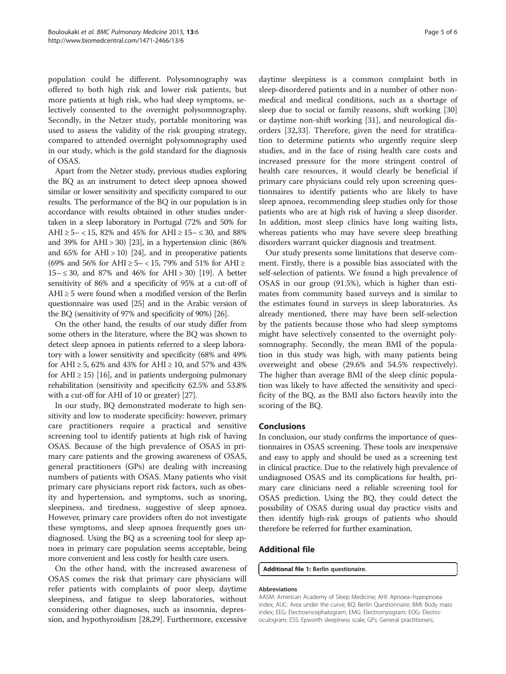<span id="page-4-0"></span>population could be different. Polysomnography was offered to both high risk and lower risk patients, but more patients at high risk, who had sleep symptoms, selectively consented to the overnight polysomnography. Secondly, in the Netzer study, portable monitoring was used to assess the validity of the risk grouping strategy, compared to attended overnight polysomnography used in our study, which is the gold standard for the diagnosis of OSAS.

Apart from the Netzer study, previous studies exploring the BQ as an instrument to detect sleep apnoea showed similar or lower sensitivity and specificity compared to our results. The performance of the BQ in our population is in accordance with results obtained in other studies undertaken in a sleep laboratory in Portugal (72% and 50% for AHI  $\geq$  5 – < 15, 82% and 45% for AHI  $\geq$  15 –  $\leq$  30, and 88% and 39% for AHI  $>$  30) [[23](#page-5-0)], in a hypertension clinic (86%) and  $65\%$  for AHI > 10) [\[24\]](#page-5-0), and in preoperative patients (69% and 56% for AHI ≥ 5– < 15, 79% and 51% for AHI ≥ 15– ≤ 30, and 87% and 46% for AHI > 30) [\[19\]](#page-5-0). A better sensitivity of 86% and a specificity of 95% at a cut-off of AHI  $\geq$  5 were found when a modified version of the Berlin questionnaire was used [[25](#page-5-0)] and in the Arabic version of the BQ (sensitivity of 97% and specificity of 90%) [\[26](#page-5-0)].

On the other hand, the results of our study differ from some others in the literature, where the BQ was shown to detect sleep apnoea in patients referred to a sleep laboratory with a lower sensitivity and specificity (68% and 49% for AHI ≥ 5, 62% and 43% for AHI ≥ 10, and 57% and 43% for AHI  $\geq$  15) [[16\]](#page-5-0), and in patients undergoing pulmonary rehabilitation (sensitivity and specificity 62.5% and 53.8% with a cut-off for AHI of 10 or greater) [\[27](#page-5-0)].

In our study, BQ demonstrated moderate to high sensitivity and low to moderate specificity: however, primary care practitioners require a practical and sensitive screening tool to identify patients at high risk of having OSAS. Because of the high prevalence of OSAS in primary care patients and the growing awareness of OSAS, general practitioners (GPs) are dealing with increasing numbers of patients with OSAS. Many patients who visit primary care physicians report risk factors, such as obesity and hypertension, and symptoms, such as snoring, sleepiness, and tiredness, suggestive of sleep apnoea. However, primary care providers often do not investigate these symptoms, and sleep apnoea frequently goes undiagnosed. Using the BQ as a screening tool for sleep apnoea in primary care population seems acceptable, being more convenient and less costly for health care users.

On the other hand, with the increased awareness of OSAS comes the risk that primary care physicians will refer patients with complaints of poor sleep, daytime sleepiness, and fatigue to sleep laboratories, without considering other diagnoses, such as insomnia, depression, and hypothyroidism [[28](#page-5-0),[29](#page-5-0)]. Furthermore, excessive

daytime sleepiness is a common complaint both in sleep-disordered patients and in a number of other nonmedical and medical conditions, such as a shortage of sleep due to social or family reasons, shift working [[30](#page-5-0)] or daytime non-shift working [[31\]](#page-5-0), and neurological disorders [\[32,33\]](#page-5-0). Therefore, given the need for stratification to determine patients who urgently require sleep studies, and in the face of rising health care costs and increased pressure for the more stringent control of health care resources, it would clearly be beneficial if primary care physicians could rely upon screening questionnaires to identify patients who are likely to have sleep apnoea, recommending sleep studies only for those patients who are at high risk of having a sleep disorder. In addition, most sleep clinics have long waiting lists, whereas patients who may have severe sleep breathing disorders warrant quicker diagnosis and treatment.

Our study presents some limitations that deserve comment. Firstly, there is a possible bias associated with the self-selection of patients. We found a high prevalence of OSAS in our group (91.5%), which is higher than estimates from community based surveys and is similar to the estimates found in surveys in sleep laboratories. As already mentioned, there may have been self-selection by the patients because those who had sleep symptoms might have selectively consented to the overnight polysomnography. Secondly, the mean BMI of the population in this study was high, with many patients being overweight and obese (29.6% and 54.5% respectively). The higher than average BMI of the sleep clinic population was likely to have affected the sensitivity and specificity of the BQ, as the BMI also factors heavily into the scoring of the BQ.

#### Conclusions

In conclusion, our study confirms the importance of questionnaires in OSAS screening. These tools are inexpensive and easy to apply and should be used as a screening test in clinical practice. Due to the relatively high prevalence of undiagnosed OSAS and its complications for health, primary care clinicians need a reliable screening tool for OSAS prediction. Using the BQ, they could detect the possibility of OSAS during usual day practice visits and then identify high-risk groups of patients who should therefore be referred for further examination.

# Additional file

[Additional file 1:](http://www.biomedcentral.com/content/supplementary/1471-2466-13-6-S1.pdf) Berlin questionaire.

#### Abbreviations

AASM: American Academy of Sleep Medicine; AHI: Apnoea–hypopnoea index; AUC: Area under the curve; BQ: Berlin Questionnaire; BMI: Body mass index; EEG: Electroencephalogram; EMG: Electromyogram; EOG: Electrooculogram; ESS: Epworth sleepiness scale; GPs: General practitioners;